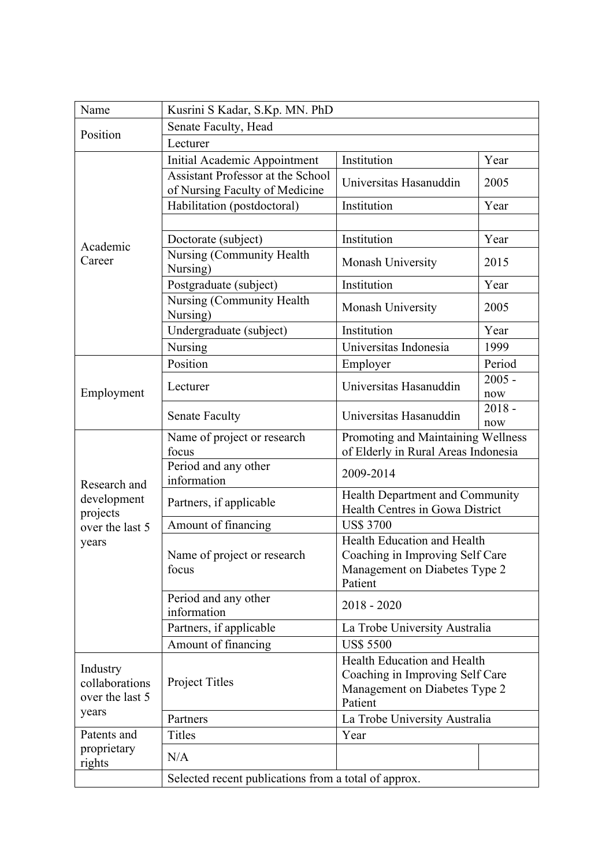| Name                                          | Kusrini S Kadar, S.Kp. MN. PhD                                             |                                                                                                                   |                 |  |
|-----------------------------------------------|----------------------------------------------------------------------------|-------------------------------------------------------------------------------------------------------------------|-----------------|--|
| Position                                      | Senate Faculty, Head                                                       |                                                                                                                   |                 |  |
|                                               | Lecturer                                                                   |                                                                                                                   |                 |  |
| Academic<br>Career                            | <b>Initial Academic Appointment</b>                                        | Institution                                                                                                       | Year            |  |
|                                               | <b>Assistant Professor at the School</b><br>of Nursing Faculty of Medicine | Universitas Hasanuddin                                                                                            | 2005            |  |
|                                               | Habilitation (postdoctoral)                                                | Institution                                                                                                       | Year            |  |
|                                               |                                                                            |                                                                                                                   |                 |  |
|                                               | Doctorate (subject)                                                        | Institution                                                                                                       | Year            |  |
|                                               | Nursing (Community Health<br>Nursing)                                      | Monash University                                                                                                 | 2015            |  |
|                                               | Postgraduate (subject)                                                     | Institution                                                                                                       | Year            |  |
|                                               | Nursing (Community Health<br>Nursing)                                      | Monash University                                                                                                 | 2005            |  |
|                                               | Undergraduate (subject)                                                    | Institution                                                                                                       | Year            |  |
|                                               | Nursing                                                                    | Universitas Indonesia                                                                                             | 1999            |  |
|                                               | Position                                                                   | Employer                                                                                                          | Period          |  |
|                                               | Lecturer                                                                   | Universitas Hasanuddin                                                                                            | $2005 -$        |  |
| Employment                                    |                                                                            |                                                                                                                   | now             |  |
|                                               | <b>Senate Faculty</b>                                                      | Universitas Hasanuddin                                                                                            | $2018 -$<br>now |  |
|                                               | Name of project or research                                                | Promoting and Maintaining Wellness                                                                                |                 |  |
|                                               | focus                                                                      | of Elderly in Rural Areas Indonesia                                                                               |                 |  |
| Research and<br>development<br>projects       | Period and any other<br>information                                        | 2009-2014                                                                                                         |                 |  |
|                                               | Partners, if applicable                                                    | Health Department and Community<br>Health Centres in Gowa District                                                |                 |  |
| over the last 5                               | Amount of financing                                                        | <b>US\$ 3700</b>                                                                                                  |                 |  |
| years                                         | Name of project or research<br>focus                                       | <b>Health Education and Health</b><br>Coaching in Improving Self Care<br>Management on Diabetes Type 2<br>Patient |                 |  |
|                                               | Period and any other<br>information                                        | $2018 - 2020$                                                                                                     |                 |  |
|                                               | Partners, if applicable                                                    | La Trobe University Australia                                                                                     |                 |  |
|                                               | Amount of financing                                                        | <b>US\$ 5500</b>                                                                                                  |                 |  |
| Industry<br>collaborations<br>over the last 5 | Project Titles                                                             | Health Education and Health<br>Coaching in Improving Self Care<br>Management on Diabetes Type 2<br>Patient        |                 |  |
| years                                         | Partners                                                                   | La Trobe University Australia                                                                                     |                 |  |
| Patents and                                   | Titles                                                                     | Year                                                                                                              |                 |  |
| proprietary<br>rights                         | N/A                                                                        |                                                                                                                   |                 |  |
|                                               | Selected recent publications from a total of approx.                       |                                                                                                                   |                 |  |